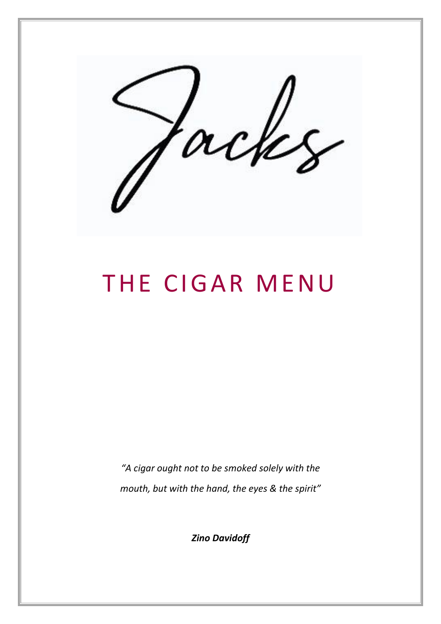°H

# THE CIGAR MENU

*"A cigar ought not to be smoked solely with the mouth, but with the hand, the eyes & the spirit"* 

*Zino Davidoff*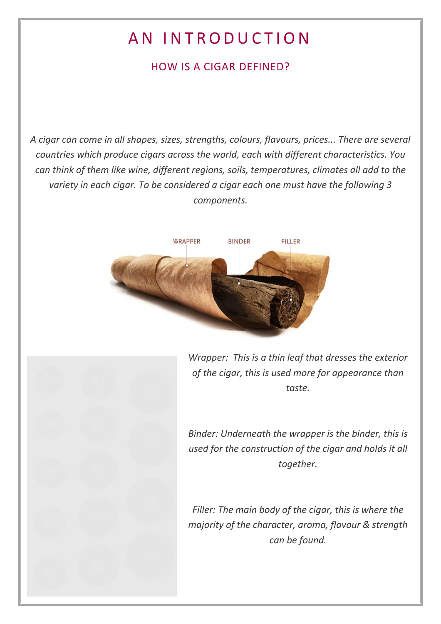# AN INTRODUCTION

## HOW IS A CIGAR DEFINED?

*A cigar can come in all shapes, sizes, strengths, colours, flavours, prices... There are several countries which produce cigars across the world, each with different characteristics. You can think of them like wine, different regions, soils, temperatures, climates all add to the variety in each cigar. To be considered a cigar each one must have the following 3 components.* 



*Wrapper: This is a thin leaf that dresses the exterior of the cigar, this is used more for appearance than taste.*

*Binder: Underneath the wrapper is the binder, this is used for the construction of the cigar and holds it all together.*

*Filler: The main body of the cigar, this is where the majority of the character, aroma, flavour & strength can be found.*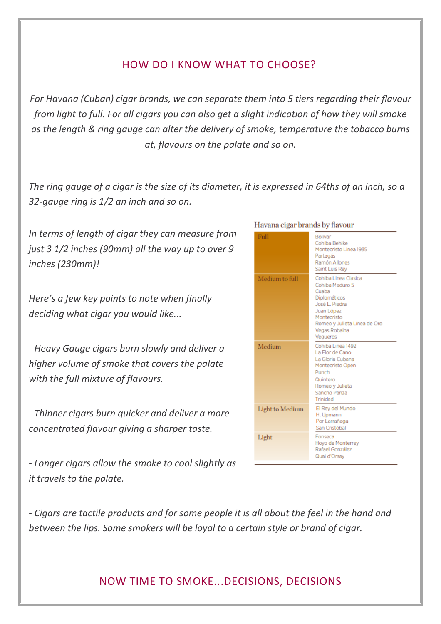### HOW DO I KNOW WHAT TO CHOOSE?

*For Havana (Cuban) cigar brands, we can separate them into 5 tiers regarding their flavour from light to full. For all cigars you can also get a slight indication of how they will smoke as the length & ring gauge can alter the delivery of smoke, temperature the tobacco burns at, flavours on the palate and so on.*

*The ring gauge of a cigar is the size of its diameter, it is expressed in 64ths of an inch, so a 32-gauge ring is 1/2 an inch and so on.*

*In terms of length of cigar they can measure from just 3 1/2 inches (90mm) all the way up to over 9 inches (230mm)!* 

*Here's a few key points to note when finally deciding what cigar you would like...*

*- Heavy Gauge cigars burn slowly and deliver a higher volume of smoke that covers the palate with the full mixture of flavours.*

*- Thinner cigars burn quicker and deliver a more concentrated flavour giving a sharper taste.* 

*- Longer cigars allow the smoke to cool slightly as it travels to the palate.*

| Full                   | Bollvar<br>Cohiba Behike<br>Montecristo Linea 1935<br>Partagás<br>Ramón Allones<br>Saint Luis Rey                                                                            |
|------------------------|------------------------------------------------------------------------------------------------------------------------------------------------------------------------------|
| Medium to full         | Cohiba Linea Clasica<br>Cohiba Maduro 5<br>Cuaba<br>Diplomáticos<br>José L. Piedra<br>Juan López<br>Montecristo<br>Romeo y Julieta Línea de Oro<br>Vegas Robaina<br>Vegueros |
| Medium                 | Cohiba Linea 1492<br>La Flor de Cano<br>La Gloria Cubana<br>Montecristo Open<br>Punch<br>Quintero<br>Romeo y Julieta<br>Sancho Panza<br>Trinidad                             |
| <b>Light to Medium</b> | El Rey del Mundo<br>H. Upmann<br>Por Larrañaga<br>San Cristóbal                                                                                                              |
| Light                  | Fonseca<br>Hoyo de Monterrey<br>Rafael González<br>Quai d'Orsay                                                                                                              |

#### Havana cigar brands by flavour

*- Cigars are tactile products and for some people it is all about the feel in the hand and between the lips. Some smokers will be loyal to a certain style or brand of cigar.*

#### NOW TIME TO SMOKE...DECISIONS, DECISIONS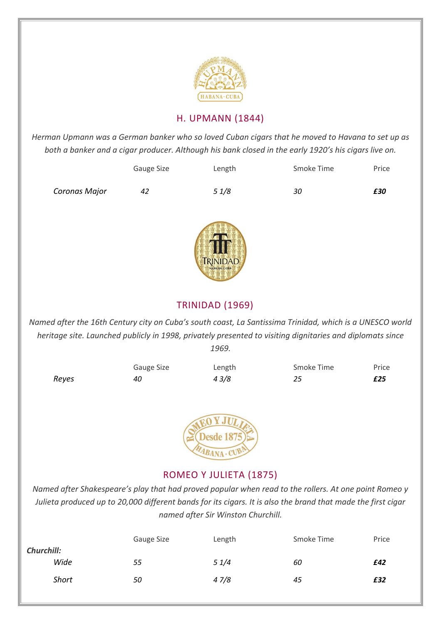

#### H. UPMANN (1844)

*Herman Upmann was a German banker who so loved Cuban cigars that he moved to Havana to set up as both a banker and a cigar producer. Although his bank closed in the early 1920's his cigars live on.*

|               | Gauge Size | Length | Smoke Time | Price |
|---------------|------------|--------|------------|-------|
| Coronas Major | 42         | 51/8   | 30         | £30   |



#### TRINIDAD (1969)

*Named after the 16th Century city on Cuba's south coast, La Santissima Trinidad, which is a UNESCO world heritage site. Launched publicly in 1998, privately presented to visiting dignitaries and diplomats since 1969.*





#### ROMEO Y JULIETA (1875)

*Named after Shakespeare's play that had proved popular when read to the rollers. At one point Romeo y Julieta produced up to 20,000 different bands for its cigars. It is also the brand that made the first cigar named after Sir Winston Churchill.*

|                   | Gauge Size | Length | Smoke Time | Price |
|-------------------|------------|--------|------------|-------|
| <b>Churchill:</b> |            |        |            |       |
| Wide              | 55         | 51/4   | 60         | £42   |
| <b>Short</b>      | 50         | 47/8   | 45         | £32   |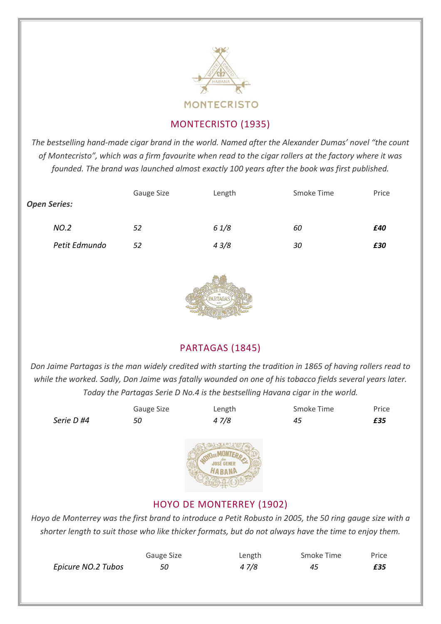

#### MONTECRISTO (1935)

*The bestselling hand-made cigar brand in the world. Named after the Alexander Dumas' novel "the count of Montecristo", which was a firm favourite when read to the cigar rollers at the factory where it was founded. The brand was launched almost exactly 100 years after the book was first published.*

| <b>Open Series:</b> | Gauge Size | Length | Smoke Time | Price |
|---------------------|------------|--------|------------|-------|
| NO.2                | 52         | 61/8   | 60         | £40   |
| Petit Edmundo       | 52         | 43/8   | 30         | £30   |



#### PARTAGAS (1845)

*Don Jaime Partagas is the man widely credited with starting the tradition in 1865 of having rollers read to while the worked. Sadly, Don Jaime was fatally wounded on one of his tobacco fields several years later. Today the Partagas Serie D No.4 is the bestselling Havana cigar in the world.*

|            | Gauge Size | Length                                                                                                    | Smoke Time | Price |
|------------|------------|-----------------------------------------------------------------------------------------------------------|------------|-------|
| Serie D #4 | 50         | 47/8                                                                                                      | 45         | £35   |
|            |            | <b>HABANA</b>                                                                                             |            |       |
|            |            | <b>HOYO DE MONTERREY (1902)</b>                                                                           |            |       |
|            |            | Hoyo de Monterrey was the first brand to introduce a Petit Robusto in 2005, the 50 ring gauge size with a |            |       |

*shorter length to suit those who like thicker formats, but do not always have the time to enjoy them.*

|                    | Gauge Size | Length | Smoke Time | Price |
|--------------------|------------|--------|------------|-------|
| Epicure NO.2 Tubos |            | 4 7/8  | 45         | £35   |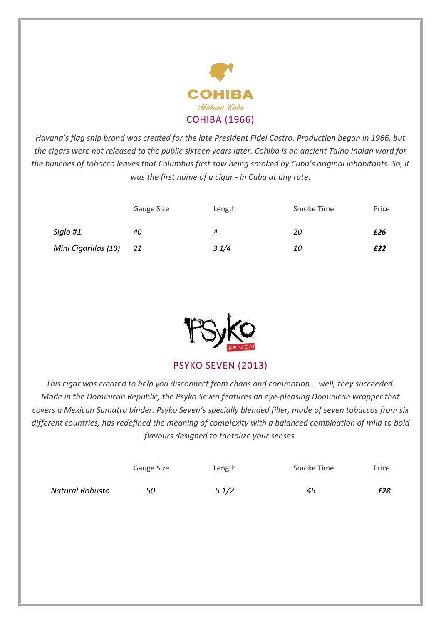

*Havana's flag ship brand was created for the late President Fidel Castro. Production began in 1966, but the cigars were not released to the public sixteen years later. Cohiba is an ancient Taino Indian word for the bunches of tobacco leaves that Columbus first saw being smoked by Cuba's original inhabitants. So, it was the first name of a cigar - in Cuba at any rate.*

|                      | Gauge Size | Length | Smoke Time | Price |
|----------------------|------------|--------|------------|-------|
| Siglo #1             | 40         | 4      | 20         | £26   |
| Mini Cigarillos (10) | 21         | 31/4   | 10         | £22   |



PSYKO SEVEN (2013)

*This cigar was created to help you disconnect from chaos and commotion... well, they succeeded. Made in the Dominican Republic, the Psyko Seven features an eye-pleasing Dominican wrapper that covers a Mexican Sumatra binder. Psyko Seven's specially blended filler, made of seven tobaccos from six different countries, has redefined the meaning of complexity with a balanced combination of mild to bold flavours designed to tantalize your senses.*

|                 | Gauge Size | Length | Smoke Time | Price |
|-----------------|------------|--------|------------|-------|
| Natural Robusto | 50         | 51/2   | 45         | £28   |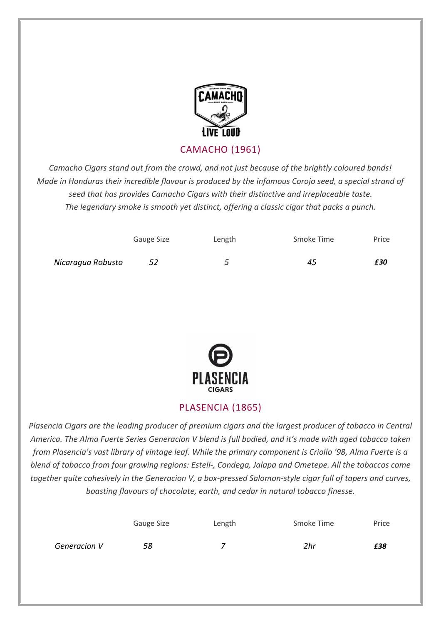

CAMACHO (1961)

*Camacho Cigars stand out from the crowd, and not just because of the brightly coloured bands! Made in Honduras their incredible flavour is produced by the infamous Corojo seed, a special strand of seed that has provides Camacho Cigars with their distinctive and irreplaceable taste. The legendary smoke is smooth yet distinct, offering a classic cigar that packs a punch.*

|                   | Gauge Size | Length | Smoke Time | Price |
|-------------------|------------|--------|------------|-------|
| Nicaragua Robusto | 52         |        | 45         | £30   |



#### PLASENCIA (1865)

*Plasencia Cigars are the leading producer of premium cigars and the largest producer of tobacco in Central America. The Alma Fuerte Series Generacion V blend is full bodied, and it's made with aged tobacco taken from Plasencia's vast library of vintage leaf. While the primary component is Criollo '98, Alma Fuerte is a blend of tobacco from four growing regions: Esteli-, Condega, Jalapa and Ometepe. All the tobaccos come together quite cohesively in the Generacion V, a box-pressed Salomon-style cigar full of tapers and curves, boasting flavours of chocolate, earth, and cedar in natural tobacco finesse.*

|              | Gauge Size | Length | Smoke Time | Price |
|--------------|------------|--------|------------|-------|
| Generacion V | 58         |        | 2hr        | £38   |